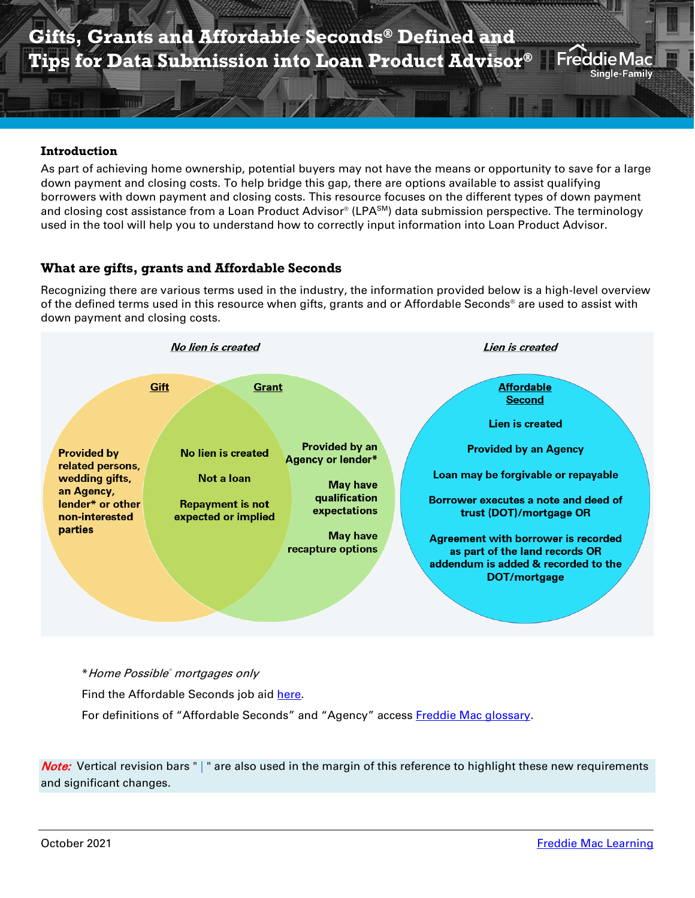### **Introduction**

**HIII** 

As part of achieving home ownership, potential buyers may not have the means or opportunity to save for a large down payment and closing costs. To help bridge this gap, there are options available to assist qualifying borrowers with down payment and closing costs. This resource focuses on the different types of down payment and closing cost assistance from a Loan Product Advisor® (LPA<sup>SM</sup>) data submission perspective. The terminology used in the tool will help you to understand how to correctly input information into Loan Product Advisor.

## **What are gifts, grants and Affordable Seconds**

Recognizing there are various terms used in the industry, the information provided below is a high-level overview of the defined terms used in this resource when gifts, grants and or Affordable Seconds® are used to assist with down payment and closing costs.



\*Home Possible® mortgages only Find the Affordable Seconds job aid [here.](https://sf.freddiemac.com/content/_assets/resources/pdf/as-defined-tips-lpa-datasubm.pdf) For definitions of "Affordable Seconds" and "Agency" access [Freddie Mac glossary.](https://guide.freddiemac.com/app/guide/glossary)

Note: Vertical revision bars " | " are also used in the margin of this reference to highlight these new requirements and significant changes.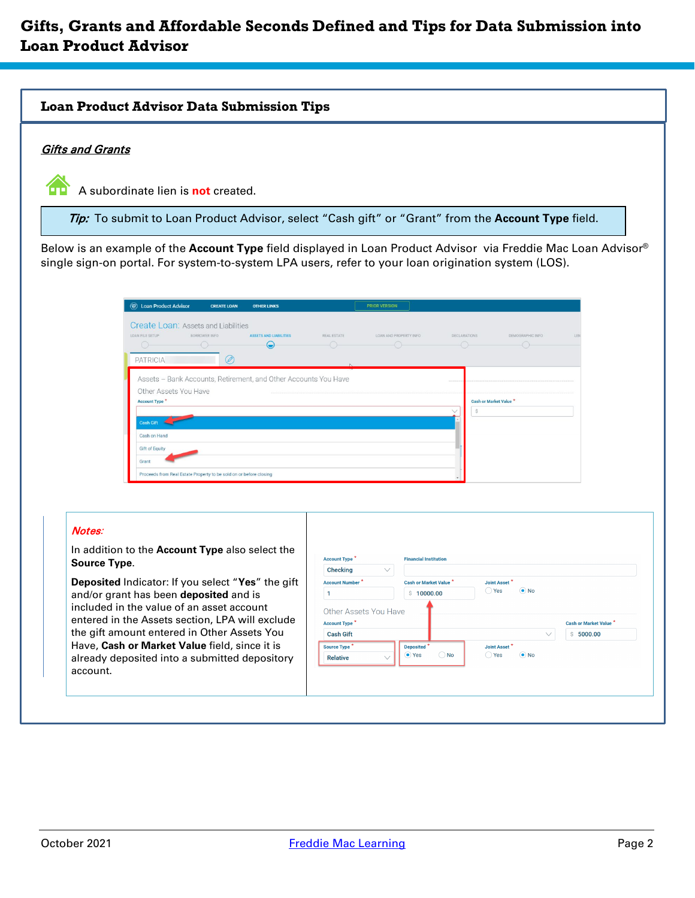# **Gifts, Grants and Affordable Seconds Defined and Tips for Data Submission into Loan Product Advisor**

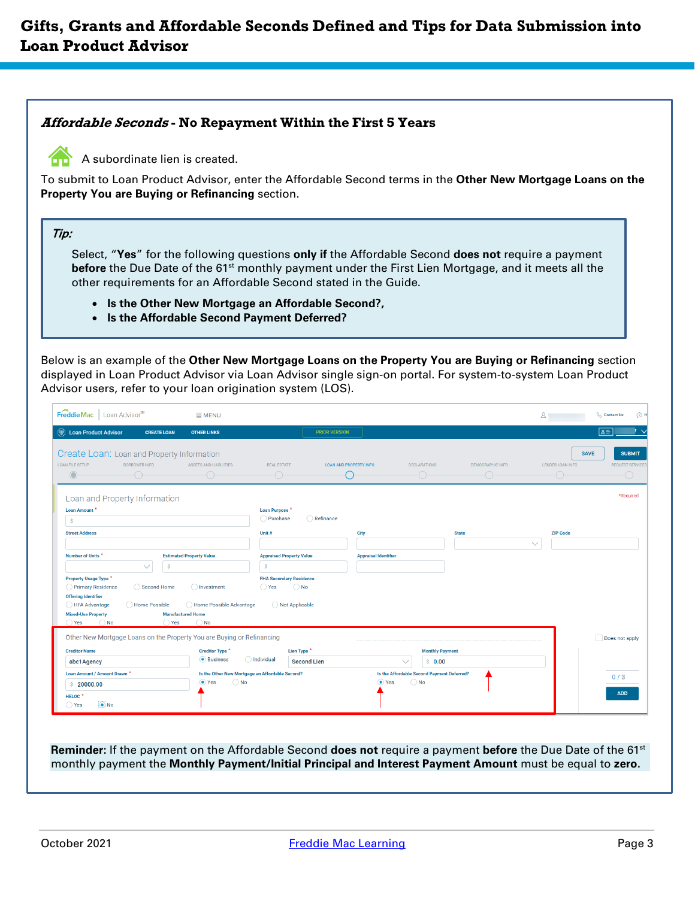## **Affordable Seconds - No Repayment Within the First 5 Years**



A subordinate lien is created.

To submit to Loan Product Advisor, enter the Affordable Second terms in the **Other New Mortgage Loans on the Property You are Buying or Refinancing** section.

### Tip:

Select, "**Yes**" for the following questions **only if** the Affordable Second **does not** require a payment **before** the Due Date of the 61st monthly payment under the First Lien Mortgage, and it meets all the other requirements for an Affordable Second stated in the Guide.

- **Is the Other New Mortgage an Affordable Second?,**
- **Is the Affordable Second Payment Deferred?**

Below is an example of the **Other New Mortgage Loans on the Property You are Buying or Refinancing** section displayed in Loan Product Advisor via Loan Advisor single sign-on portal. For system-to-system Loan Product Advisor users, refer to your loan origination system (LOS).

| FreddieMac   Loan Advisor <sup>5M</sup><br><b>W</b> Loan Product Advisor<br><b>CREATE LOAN</b>                                                                                                                                                           | <b>SMENU</b><br><b>OTHER LINKS</b>                                                                                        | <b>PRIOR VERSION</b>                                                                                                           |                                      |                                            |                  | 2 <sub>1</sub>                       | <b>Contact Us</b><br>$\boxed{a}$               |
|----------------------------------------------------------------------------------------------------------------------------------------------------------------------------------------------------------------------------------------------------------|---------------------------------------------------------------------------------------------------------------------------|--------------------------------------------------------------------------------------------------------------------------------|--------------------------------------|--------------------------------------------|------------------|--------------------------------------|------------------------------------------------|
| Create Loan: Loan and Property Information<br><b>LOAN FILE SETUP</b><br>BORROWER INFO<br>←<br>$\bigcirc$                                                                                                                                                 | ASSETS AND LIABILITIES<br>←                                                                                               | <b>REAL ESTATE</b><br>-0                                                                                                       | <b>LOAN AND PROPERTY INFO</b><br>( ) | <b>DECLARATIONS</b><br>← ( )               | DEMOGRAPHIC INFO | <b>SAVE</b><br>LENDER LOAN INFO<br>0 | <b>SUBMIT</b><br><b>REQUEST SERVICES</b><br>-0 |
| Loan and Property Information<br>Loan Amount *<br>Ŝ                                                                                                                                                                                                      |                                                                                                                           | Loan Purpose <sup>*</sup><br>Refinance<br>O Purchase                                                                           |                                      |                                            |                  |                                      | *Required                                      |
| <b>Street Address</b>                                                                                                                                                                                                                                    |                                                                                                                           | Unit #                                                                                                                         | City                                 | <b>State</b>                               |                  | <b>ZIP Code</b>                      |                                                |
| Number of Units *<br>$\vee$<br>\$<br>Property Usage Type *<br>◯ Primary Residence<br>◯ Second Home<br><b>Offering Identifier</b><br>◯ Home Possible<br>◯ HFA Advantage<br><b>Mixed-Use Property</b><br>$\bigcirc$ Yes<br>$\bigcirc$ No<br>$\bigcirc$ Yes | <b>Estimated Property Value</b><br>◯ Investment<br>◯ Home Possible Advantage<br><b>Manufactured Home</b><br>$\bigcirc$ No | <b>Appraised Property Value</b><br>\$<br><b>FHA Secondary Residence</b><br>$\bigcirc$ Yes<br>$\bigcirc$ No<br>◯ Not Applicable | <b>Appraisal Identifier</b>          |                                            |                  | $\checkmark$                         |                                                |
| Other New Mortgage Loans on the Property You are Buying or Refinancing                                                                                                                                                                                   |                                                                                                                           |                                                                                                                                |                                      |                                            |                  |                                      | Does not apply                                 |
| <b>Creditor Name</b><br>abc1Agency                                                                                                                                                                                                                       | Creditor Type *<br><b>O</b> Business                                                                                      | Lien Type *<br>$\bigcap$ Individual<br><b>Second Lien</b>                                                                      | $\checkmark$                         | <b>Monthly Payment</b><br>\$0.00           |                  |                                      |                                                |
| Loan Amount / Amount Drawn *                                                                                                                                                                                                                             |                                                                                                                           | Is the Other New Mortgage an Affordable Second?                                                                                |                                      | Is the Affordable Second Payment Deferred? |                  |                                      | 0/3                                            |
| \$20000.00<br>HELOC <sup>*</sup>                                                                                                                                                                                                                         | $\odot$ Yes<br>$\bigcirc$ No                                                                                              |                                                                                                                                | $\bullet$ Yes                        | $\bigcirc$ No                              |                  |                                      | <b>ADD</b>                                     |

**Reminder:** If the payment on the Affordable Second **does not** require a payment **before** the Due Date of the 61st monthly payment the **Monthly Payment/Initial Principal and Interest Payment Amount** must be equal to **zero.**